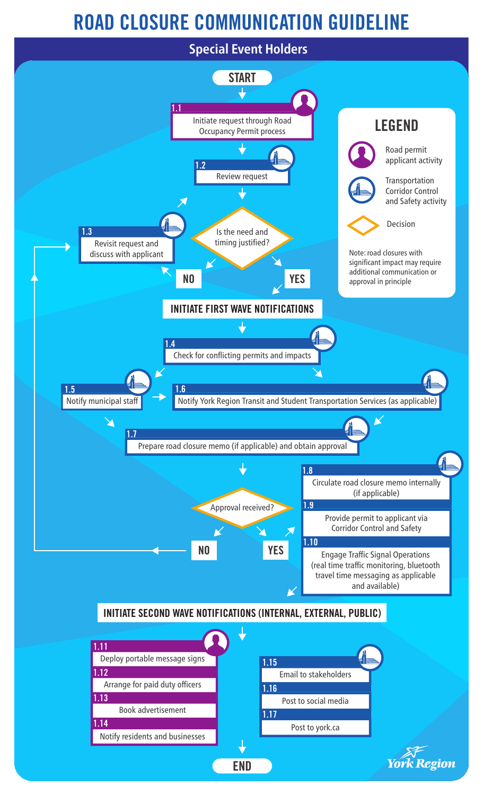## ROAD CLOSURE COMMUNICATION GUIDELINE